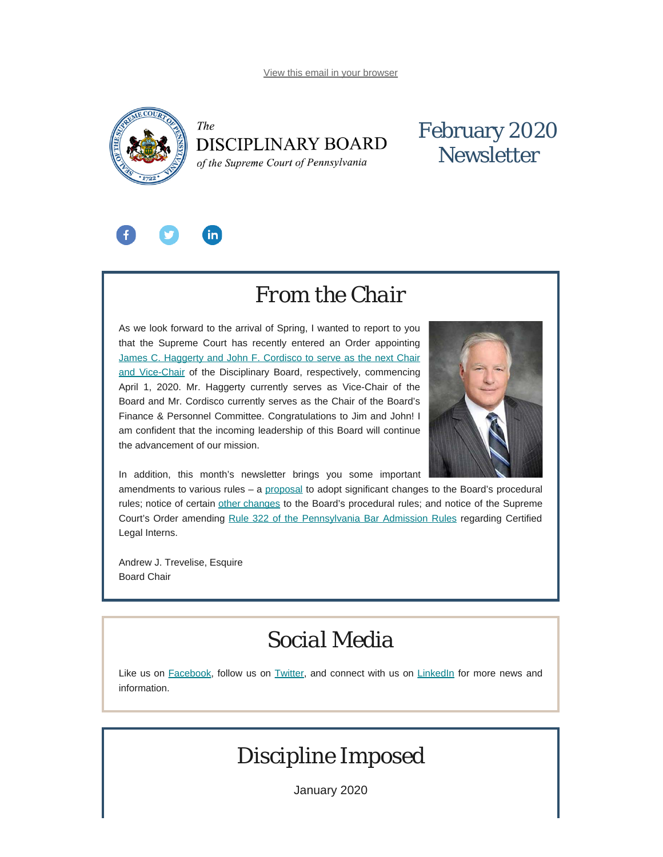<span id="page-0-0"></span>

### The DISCIPLINARY BOARD of the Supreme Court of Pennsylvania

## February 2020 **Newsletter**



# *From the Chair*

As we look forward to the arrival of Spring, I wanted to report to you that the Supreme Court has recently entered an Order appointing [James C. Haggerty and John F. Cordisco to serve as the next Chair](http://198.8.33.167/news-media/news-article/1218/disciplinary-board-of-the-supreme-court-of-pennsylvania-announces-new-leadership) [and Vice-Chair](http://198.8.33.167/news-media/news-article/1218/disciplinary-board-of-the-supreme-court-of-pennsylvania-announces-new-leadership) of the Disciplinary Board, respectively, commencing April 1, 2020. Mr. Haggerty currently serves as Vice-Chair of the Board and Mr. Cordisco currently serves as the Chair of the Board's Finance & Personnel Committee. Congratulations to Jim and John! I am confident that the incoming leadership of this Board will continue the advancement of our mission.



In addition, this month's newsletter brings you some important

amendments to various rules – a [proposal](http://www.pacodeandbulletin.gov/Display/pabull?file=/secure/pabulletin/data/vol50/50-5/142.html) to adopt significant changes to the Board's procedural rules; notice of certain [other changes](http://www.pacodeandbulletin.gov/secure/pabulletin/data/vol50/50-5/50_5_cts.pdf) to the Board's procedural rules; and notice of the Supreme Court's Order amending [Rule 322 of the Pennsylvania Bar Admission Rules](http://www.pacourts.us/assets/opinions/Supreme/out/attach%20-%2010429709292301783.pdf?cb=1) regarding Certified Legal Interns.

Andrew J. Trevelise, Esquire Board Chair

## *Social Media*

Like us on [Facebook](https://www.facebook.com/DBoardPA), follow us on [Twitter,](https://twitter.com/DBoardPa) and connect with us on [LinkedIn](https://www.linkedin.com/company/pennsylvania-disciplinary-board/) for more news and information.

# *Discipline Imposed*

January 2020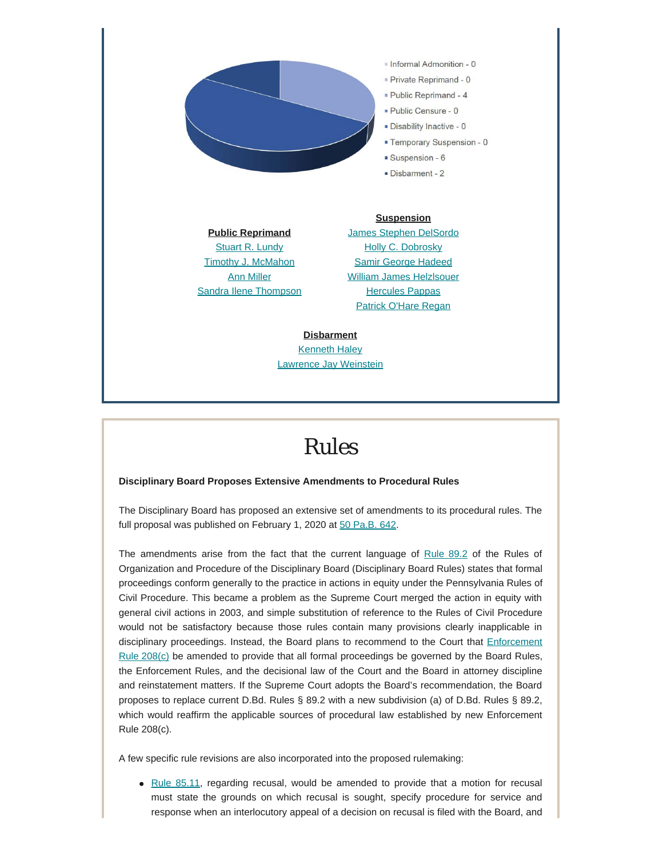

[Stuart R. Lundy](https://www.padisciplinaryboard.org/for-the-public/find-attorney/attorney-detail/16117) **[Timothy J. McMahon](https://www.padisciplinaryboard.org/for-the-public/find-attorney/attorney-detail/52918)** [Ann Miller](https://www.padisciplinaryboard.org/for-the-public/find-attorney/attorney-detail/25358) [Sandra Ilene Thompson](https://www.padisciplinaryboard.org/for-the-public/find-attorney/attorney-detail/84345)

[Holly C. Dobrosky](https://www.padisciplinaryboard.org/for-the-public/find-attorney/attorney-detail/65917) [Samir George Hadeed](https://www.padisciplinaryboard.org/for-the-public/find-attorney/attorney-detail/318121) [William James Helzlsouer](https://www.padisciplinaryboard.org/for-the-public/find-attorney/attorney-detail/17300) [Hercules Pappas](https://www.padisciplinaryboard.org/for-the-public/find-attorney/attorney-detail/81511) [Patrick O'Hare Regan](https://www.padisciplinaryboard.org/for-the-public/find-attorney/attorney-detail/89591)

**Disbarment** [Kenneth Haley](https://www.padisciplinaryboard.org/for-the-public/find-attorney/attorney-detail/308487) [Lawrence Jay Weinstein](https://www.padisciplinaryboard.org/for-the-public/find-attorney/attorney-detail/85534)

# *Rules*

### **Disciplinary Board Proposes Extensive Amendments to Procedural Rules**

The Disciplinary Board has proposed an extensive set of amendments to its procedural rules. The full proposal was published on February 1, 2020 at [50 Pa.B. 642.](http://www.pacodeandbulletin.gov/Display/pabull?file=/secure/pabulletin/data/vol50/50-5/142.html)

The amendments arise from the fact that the current language of [Rule 89.2](http://www.pacodeandbulletin.gov/Display/pacode?file=/secure/pacode/data/204/chapter89/chap89toc.html&d=reduce#89.2.) of the Rules of Organization and Procedure of the Disciplinary Board (Disciplinary Board Rules) states that formal proceedings conform generally to the practice in actions in equity under the Pennsylvania Rules of Civil Procedure. This became a problem as the Supreme Court merged the action in equity with general civil actions in 2003, and simple substitution of reference to the Rules of Civil Procedure would not be satisfactory because those rules contain many provisions clearly inapplicable in disciplinary proceedings. Instead, the Board plans to recommend to the Court that *[Enforcement](http://www.pacodeandbulletin.gov/Display/pacode?file=/secure/pacode/data/204/chapter83/s208.html&d=reduce)* [Rule 208\(c\)](http://www.pacodeandbulletin.gov/Display/pacode?file=/secure/pacode/data/204/chapter83/s208.html&d=reduce) be amended to provide that all formal proceedings be governed by the Board Rules, the Enforcement Rules, and the decisional law of the Court and the Board in attorney discipline and reinstatement matters. If the Supreme Court adopts the Board's recommendation, the Board proposes to replace current D.Bd. Rules § 89.2 with a new subdivision (a) of D.Bd. Rules § 89.2, which would reaffirm the applicable sources of procedural law established by new Enforcement Rule 208(c).

A few specific rule revisions are also incorporated into the proposed rulemaking:

• [Rule 85.11,](http://www.pacodeandbulletin.gov/Display/pacode?file=/secure/pacode/data/204/chapter85/s85.11.html&d=reduce) regarding recusal, would be amended to provide that a motion for recusal must state the grounds on which recusal is sought, specify procedure for service and response when an interlocutory appeal of a decision on recusal is filed with the Board, and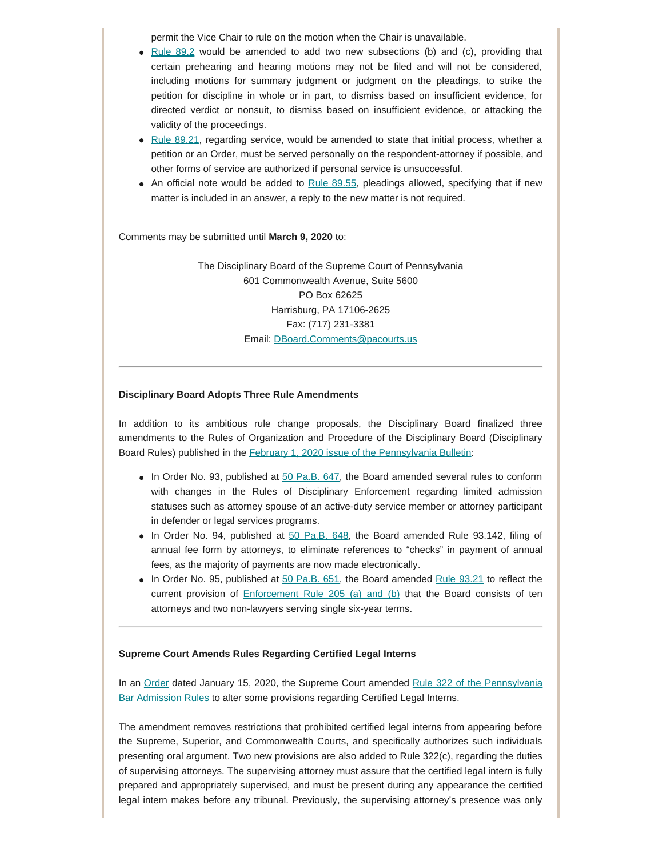permit the Vice Chair to rule on the motion when the Chair is unavailable.

- Rule  $89.2$  would be amended to add two new subsections (b) and (c), providing that certain prehearing and hearing motions may not be filed and will not be considered, including motions for summary judgment or judgment on the pleadings, to strike the petition for discipline in whole or in part, to dismiss based on insufficient evidence, for directed verdict or nonsuit, to dismiss based on insufficient evidence, or attacking the validity of the proceedings.
- Rule  $89.21$ , regarding service, would be amended to state that initial process, whether a petition or an Order, must be served personally on the respondent-attorney if possible, and other forms of service are authorized if personal service is unsuccessful.
- An official note would be added to [Rule 89.55](http://www.pacodeandbulletin.gov/Display/pacode?file=/secure/pacode/data/204/chapter89/chap89toc.html&d=reduce#89.55.), pleadings allowed, specifying that if new matter is included in an answer, a reply to the new matter is not required.

Comments may be submitted until **March 9, 2020** to:

The Disciplinary Board of the Supreme Court of Pennsylvania 601 Commonwealth Avenue, Suite 5600 PO Box 62625 Harrisburg, PA 17106-2625 Fax: (717) 231-3381 Email: [DBoard.Comments@pacourts.us](mailto:Dboard.comments@pacourts.us)

#### **Disciplinary Board Adopts Three Rule Amendments**

In addition to its ambitious rule change proposals, the Disciplinary Board finalized three amendments to the Rules of Organization and Procedure of the Disciplinary Board (Disciplinary Board Rules) published in the [February 1, 2020 issue of the Pennsylvania Bulletin](http://www.pacodeandbulletin.gov/secure/pabulletin/data/vol50/50-5/50_5_cts.pdf):

- $\bullet$  In Order No. 93, published at  $50$  Pa.B. 647, the Board amended several rules to conform with changes in the Rules of Disciplinary Enforcement regarding limited admission statuses such as attorney spouse of an active-duty service member or attorney participant in defender or legal services programs.
- $\bullet$  In Order No. 94, published at  $50$  Pa.B. 648, the Board amended Rule 93.142, filing of annual fee form by attorneys, to eliminate references to "checks" in payment of annual fees, as the majority of payments are now made electronically.
- $\bullet$  In Order No. 95, published at [50 Pa.B. 651,](http://www.pacodeandbulletin.gov/Display/pabull?file=/secure/pabulletin/data/vol50/50-5/145.html&d=reduce) the Board amended [Rule 93.21](http://www.pacodeandbulletin.gov/Display/pacode?file=/secure/pacode/data/204/chapter93/s93.21.html&d=reduce) to reflect the current provision of [Enforcement Rule 205 \(a\) and \(b\)](https://www.padisciplinaryboard.org/for-attorneys/rules/rule/5/the-pennsylvania-rules-of-disciplinary-enforcement#rule-21) that the Board consists of ten attorneys and two non-lawyers serving single six-year terms.

#### **Supreme Court Amends Rules Regarding Certified Legal Interns**

In an [Order](http://www.pacourts.us/assets/opinions/Supreme/out/Order%20Entered%20-%2010429709292301277.pdf?cb=1) dated January 15, 2020, the Supreme Court amended [Rule 322 of the Pennsylvania](http://www.pacourts.us/assets/opinions/Supreme/out/attach - 10429709292301783.pdf?cb=1) [Bar Admission Rules](http://www.pacourts.us/assets/opinions/Supreme/out/attach - 10429709292301783.pdf?cb=1) to alter some provisions regarding Certified Legal Interns.

The amendment removes restrictions that prohibited certified legal interns from appearing before the Supreme, Superior, and Commonwealth Courts, and specifically authorizes such individuals presenting oral argument. Two new provisions are also added to Rule 322(c), regarding the duties of supervising attorneys. The supervising attorney must assure that the certified legal intern is fully prepared and appropriately supervised, and must be present during any appearance the certified legal intern makes before any tribunal. Previously, the supervising attorney's presence was only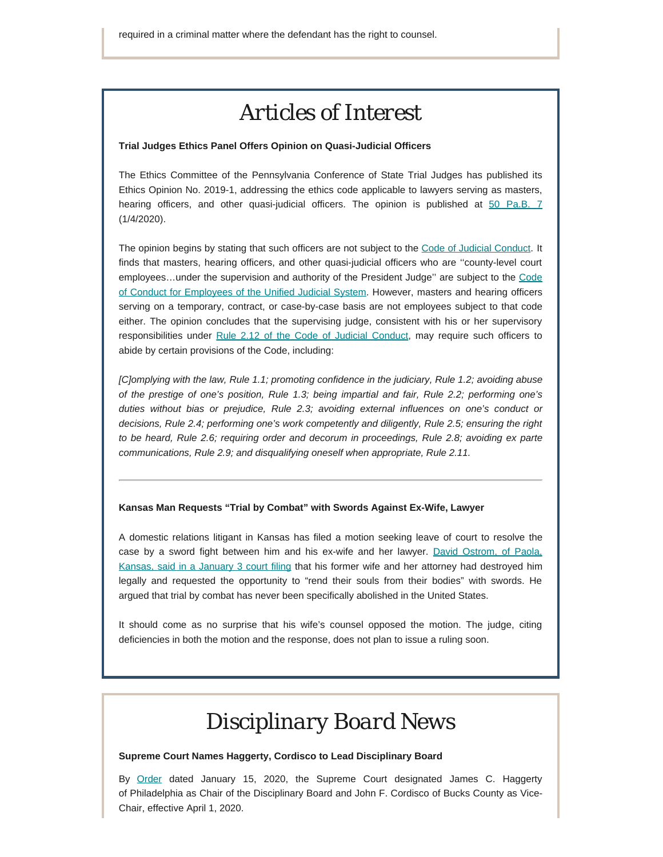### *Articles of Interest*

#### **Trial Judges Ethics Panel Offers Opinion on Quasi-Judicial Officers**

The Ethics Committee of the Pennsylvania Conference of State Trial Judges has published its Ethics Opinion No. 2019-1, addressing the ethics code applicable to lawyers serving as masters, hearing officers, and other quasi-judicial officers. The opinion is published at [50 Pa.B. 7](http://www.pacodeandbulletin.gov/secure/pabulletin/data/vol50/50-1/50_1_cts.pdf) (1/4/2020).

The opinion begins by stating that such officers are not subject to the [Code of Judicial Conduct](http://judicialconductboardofpa.org/code-of-judicial-conduct/). It finds that masters, hearing officers, and other quasi-judicial officers who are ''county-level court employees…under the supervision and authority of the President Judge'' are subject to the [Code](http://www.pacourts.us/assets/files/setting-429/file-212.pdf?cb=e8406e) [of Conduct for Employees of the Unified Judicial System](http://www.pacourts.us/assets/files/setting-429/file-212.pdf?cb=e8406e). However, masters and hearing officers serving on a temporary, contract, or case-by-case basis are not employees subject to that code either. The opinion concludes that the supervising judge, consistent with his or her supervisory responsibilities under [Rule 2.12 of the Code of Judicial Conduct](http://judicialconductboardofpa.org/code-of-judicial-conduct/#2.12.), may require such officers to abide by certain provisions of the Code, including:

*[C]omplying with the law, Rule 1.1; promoting confidence in the judiciary, Rule 1.2; avoiding abuse of the prestige of one's position, Rule 1.3; being impartial and fair, Rule 2.2; performing one's duties without bias or prejudice, Rule 2.3; avoiding external influences on one's conduct or decisions, Rule 2.4; performing one's work competently and diligently, Rule 2.5; ensuring the right to be heard, Rule 2.6; requiring order and decorum in proceedings, Rule 2.8; avoiding ex parte communications, Rule 2.9; and disqualifying oneself when appropriate, Rule 2.11.*

#### **Kansas Man Requests "Trial by Combat" with Swords Against Ex-Wife, Lawyer**

A domestic relations litigant in Kansas has filed a motion seeking leave of court to resolve the case by a sword fight between him and his ex-wife and her lawyer. [David Ostrom, of Paola,](https://www.kcci.com/article/man-asks-iowa-judge-for-trial-by-combat-with-ex-wife-lawyer/30518941) [Kansas, said in a January 3 court filing](https://www.kcci.com/article/man-asks-iowa-judge-for-trial-by-combat-with-ex-wife-lawyer/30518941) that his former wife and her attorney had destroyed him legally and requested the opportunity to "rend their souls from their bodies" with swords. He argued that trial by combat has never been specifically abolished in the United States.

It should come as no surprise that his wife's counsel opposed the motion. The judge, citing deficiencies in both the motion and the response, does not plan to issue a ruling soon.

# *Disciplinary Board News*

#### **Supreme Court Names Haggerty, Cordisco to Lead Disciplinary Board**

By [Order](http://www.pacourts.us/assets/opinions/Supreme/out/Order%20Entered%20-%2010429631592250217.pdf?cb=1) dated January 15, 2020, the Supreme Court designated James C. Haggerty of Philadelphia as Chair of the Disciplinary Board and John F. Cordisco of Bucks County as Vice-Chair, effective April 1, 2020.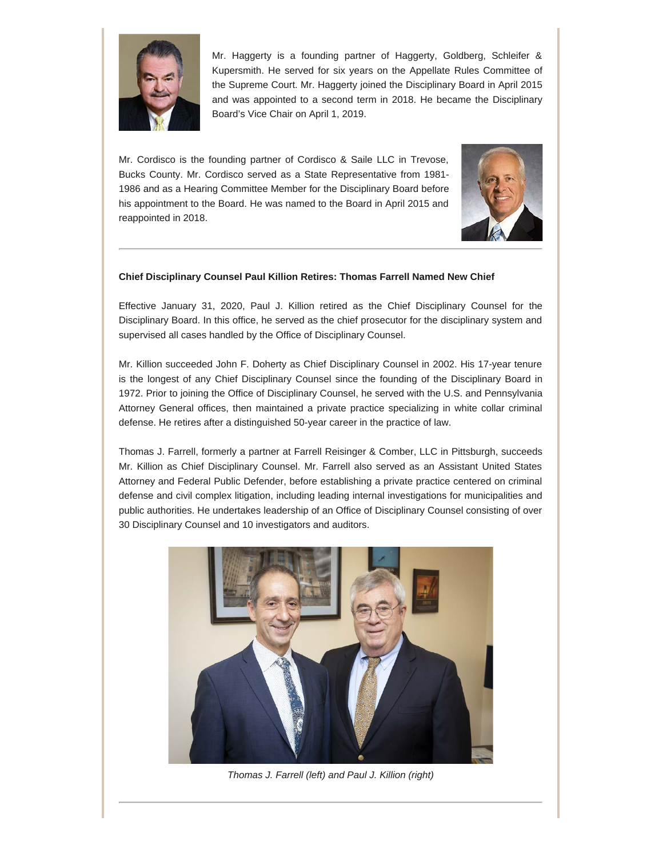

Mr. Haggerty is a founding partner of Haggerty, Goldberg, Schleifer & Kupersmith. He served for six years on the Appellate Rules Committee of the Supreme Court. Mr. Haggerty joined the Disciplinary Board in April 2015 and was appointed to a second term in 2018. He became the Disciplinary Board's Vice Chair on April 1, 2019.

Mr. Cordisco is the founding partner of Cordisco & Saile LLC in Trevose, Bucks County. Mr. Cordisco served as a State Representative from 1981- 1986 and as a Hearing Committee Member for the Disciplinary Board before his appointment to the Board. He was named to the Board in April 2015 and reappointed in 2018.



### **Chief Disciplinary Counsel Paul Killion Retires: Thomas Farrell Named New Chief**

Effective January 31, 2020, Paul J. Killion retired as the Chief Disciplinary Counsel for the Disciplinary Board. In this office, he served as the chief prosecutor for the disciplinary system and supervised all cases handled by the Office of Disciplinary Counsel.

Mr. Killion succeeded John F. Doherty as Chief Disciplinary Counsel in 2002. His 17-year tenure is the longest of any Chief Disciplinary Counsel since the founding of the Disciplinary Board in 1972. Prior to joining the Office of Disciplinary Counsel, he served with the U.S. and Pennsylvania Attorney General offices, then maintained a private practice specializing in white collar criminal defense. He retires after a distinguished 50-year career in the practice of law.

Thomas J. Farrell, formerly a partner at Farrell Reisinger & Comber, LLC in Pittsburgh, succeeds Mr. Killion as Chief Disciplinary Counsel. Mr. Farrell also served as an Assistant United States Attorney and Federal Public Defender, before establishing a private practice centered on criminal defense and civil complex litigation, including leading internal investigations for municipalities and public authorities. He undertakes leadership of an Office of Disciplinary Counsel consisting of over 30 Disciplinary Counsel and 10 investigators and auditors.



*Thomas J. Farrell (left) and Paul J. Killion (right)*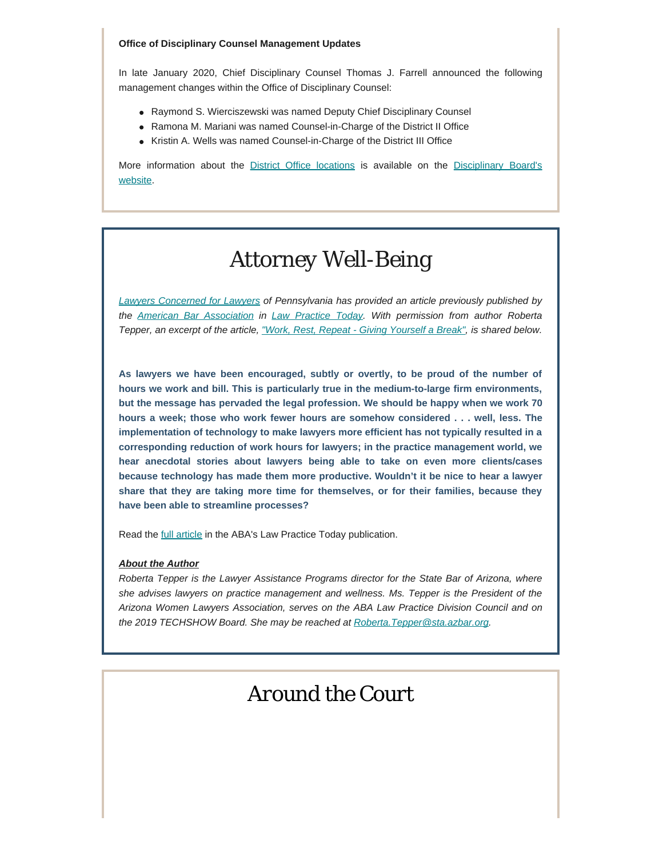#### **Office of Disciplinary Counsel Management Updates**

In late January 2020, Chief Disciplinary Counsel Thomas J. Farrell announced the following management changes within the Office of Disciplinary Counsel:

- Raymond S. Wierciszewski was named Deputy Chief Disciplinary Counsel
- Ramona M. Mariani was named Counsel-in-Charge of the District II Office
- Kristin A. Wells was named Counsel-in-Charge of the District III Office

More information about the [District Office locations](https://www.padisciplinaryboard.org/about/contact/district-offices) is available on the [Disciplinary Board's](https://www.padisciplinaryboard.org/) [website](https://www.padisciplinaryboard.org/).

# *Attorney Well-Being*

*[Lawyers Concerned for Lawyers](https://www.lclpa.org/) of Pennsylvania has provided an article previously published by the [American Bar Association](https://www.americanbar.org/) in [Law Practice Today](https://www.lawpracticetoday.org/about-aba-law-practice-today/). With permission from author Roberta Tepper, an excerpt of the article, ["Work, Rest, Repeat - Giving](https://www.lawpracticetoday.org/article/work-rest-giving-yourself-break/) Yourself a Break", is shared below.*

**As lawyers we have been encouraged, subtly or overtly, to be proud of the number of hours we work and bill. This is particularly true in the medium-to-large firm environments, but the message has pervaded the legal profession. We should be happy when we work 70 hours a week; those who work fewer hours are somehow considered . . . well, less. The implementation of technology to make lawyers more efficient has not typically resulted in a corresponding reduction of work hours for lawyers; in the practice management world, we hear anecdotal stories about lawyers being able to take on even more clients/cases because technology has made them more productive. Wouldn't it be nice to hear a lawyer share that they are taking more time for themselves, or for their families, because they have been able to streamline processes?**

Read the **[full article](https://www.lawpracticetoday.org/article/work-rest-giving-yourself-break/)** in the ABA's Law Practice Today publication.

### *About the Author*

*Roberta Tepper is the Lawyer Assistance Programs director for the State Bar of Arizona, where she advises lawyers on practice management and wellness. Ms. Tepper is the President of the Arizona Women Lawyers Association, serves on the ABA Law Practice Division Council and on the 2019 TECHSHOW Board. She may be reached at [Roberta.Tepper@sta.azbar.org.](mailto:Roberta.Tepper@sta.azbar.org)*

### *Around the Court*